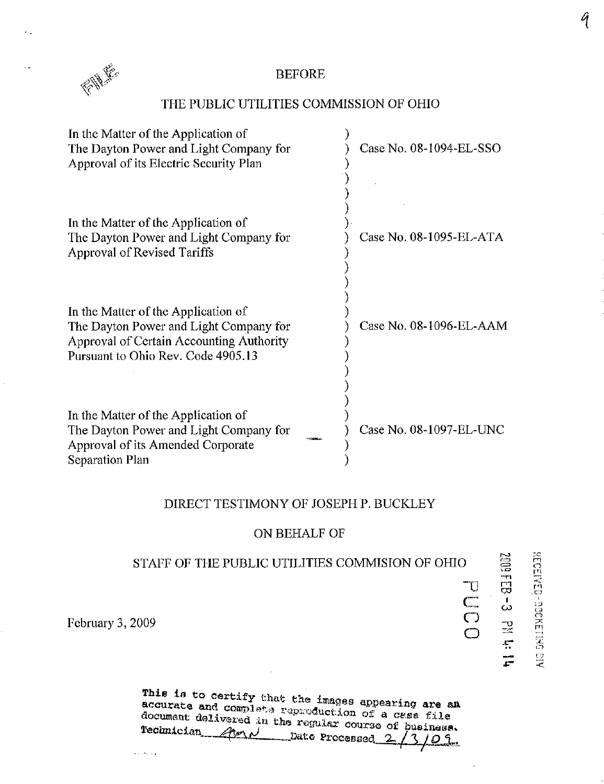

٠.

 $\cdot$ 

### BEFORE

### THE PUBLIC UTILITIES COMMISSION OF OHIO

| In the Matter of the Application of<br>The Dayton Power and Light Company for<br>Approval of its Electric Security Plan                                         | Case No. 08-1094-EL-SSO |
|-----------------------------------------------------------------------------------------------------------------------------------------------------------------|-------------------------|
| In the Matter of the Application of<br>The Dayton Power and Light Company for<br>Approval of Revised Tariffs                                                    | Case No. 08-1095-EL-ATA |
| In the Matter of the Application of<br>The Dayton Power and Light Company for<br>Approval of Certain Accounting Authority<br>Pursuant to Ohio Rev. Code 4905.13 | Case No. 08-1096-EL-AAM |
| In the Matter of the Application of<br>The Dayton Power and Light Company for<br>Approval of its Amended Corporate<br>Separation Plan                           | Case No. 08-1097-EL-UNC |

### DIRECT TESTIMONY OF JOSEPH P. BUCKLEY

### ON BEHALF OF

## STAFF OF THE PUBLIC UTILITIES COMMISION OF OHIO

T)

ទ<br>កា

ក្ត<br>ក

់<br>ទី

 $\mathbf{r}$  $\mathcal{\mathcal{O}}$ 

 $\leq$ 

္

 $\mathbb{C}$  $\mathcal{F}_\mathbf{r}$ 

(၂<br>(၂ o

February 3, 2009

والمتعدمة

| This is to certify that the images appearing are an                                                                                                    |  |
|--------------------------------------------------------------------------------------------------------------------------------------------------------|--|
| accurate and complete reproduction of a case file<br>document delivered in the regular course of pusiness.<br>Technician Avenue Date Processed 2/3/03. |  |

 $\sim$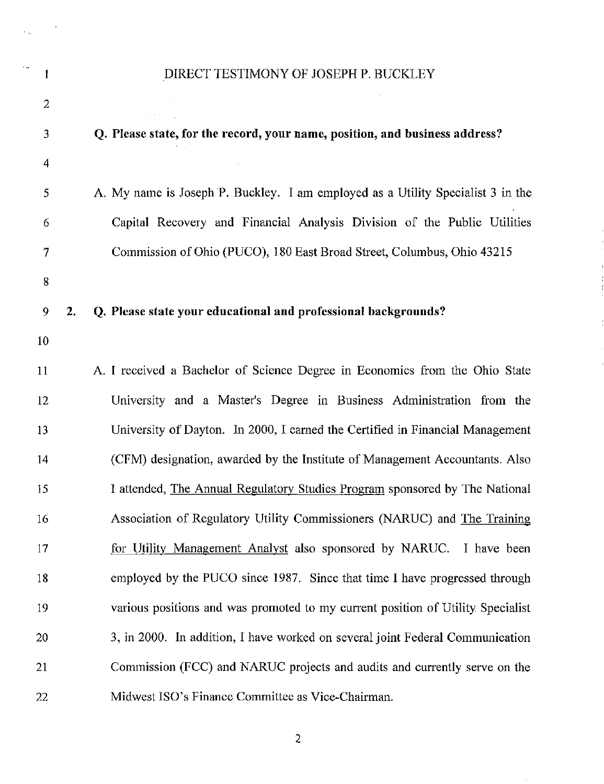## 1 DIRECT TESTIMONY OF JOSEPH P. BUCKLEY

 $\Delta \sim 10^4$ 

 $\sim 10$ 

 $\hat{\mathcal{A}}$ 

 $\mathcal{L}_{\text{max}}$ 

 $\sim$ 

| $\overline{c}$ |    |                                                                                 |
|----------------|----|---------------------------------------------------------------------------------|
| 3              |    | Q. Please state, for the record, your name, position, and business address?     |
| $\overline{4}$ |    |                                                                                 |
| 5              |    | A. My name is Joseph P. Buckley. I am employed as a Utility Specialist 3 in the |
| 6              |    | Capital Recovery and Financial Analysis Division of the Public Utilities        |
| 7              |    | Commission of Ohio (PUCO), 180 East Broad Street, Columbus, Ohio 43215          |
| $8\,$          |    |                                                                                 |
| 9              | 2. | Q. Please state your educational and professional backgrounds?                  |
| 10             |    |                                                                                 |
| 11             |    | A. I received a Bachelor of Science Degree in Economics from the Ohio State     |
| 12             |    | University and a Master's Degree in Business Administration from the            |
| 13             |    | University of Dayton. In 2000, I earned the Certified in Financial Management   |
| 14             |    | (CFM) designation, awarded by the Institute of Management Accountants. Also     |
| 15             |    | I attended, The Annual Regulatory Studies Program sponsored by The National     |
| 16             |    | Association of Regulatory Utility Commissioners (NARUC) and The Training        |
| 17             |    | for Utility Management Analyst also sponsored by NARUC. I have been             |
| 18             |    | employed by the PUCO since 1987. Since that time I have progressed through      |
| 19             |    | various positions and was promoted to my current position of Utility Specialist |
| 20             |    | 3, in 2000. In addition, I have worked on several joint Federal Communication   |
| 21             |    | Commission (FCC) and NARUC projects and audits and currently serve on the       |
| 22             |    | Midwest ISO's Finance Committee as Vice-Chairman.                               |

 $\overline{2}$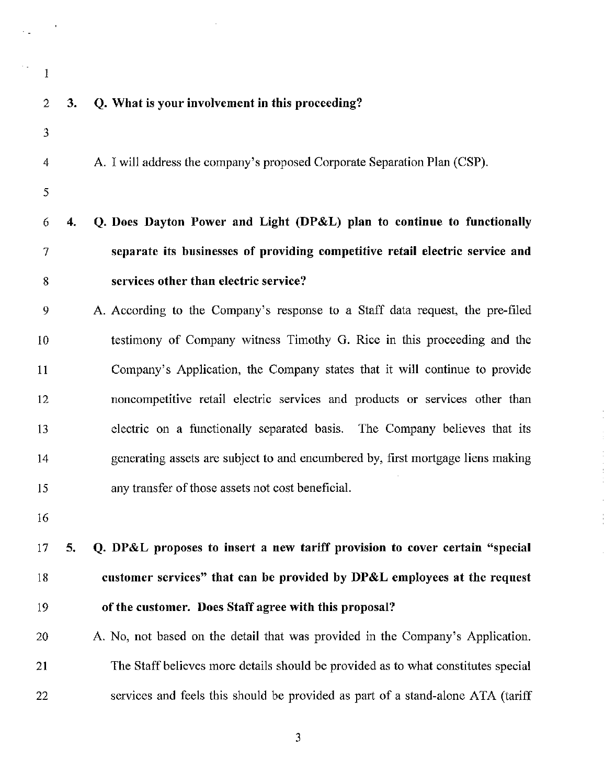- $\mathbf{1}$
- 

#### 2 3. Q. What is your involvement in this proceeding?

3

4 A. I will address the company's proposed Corporate Separation Plan (CSP).

5

# 6 4. Q. Does Dayton Power and Light (DP&L) plan to continue to functionally 7 separate its businesses of providing competitive retail electric service and 8 services other than electric service?

9 A. According to the Company's response to a Staff data request, the pre-filed 10 testimony of Company witness Timothy G. Rice in this proceeding and the 11 Company's Application, the Company states that it will continue to provide 12 noncompetitive retail electric services and products or services other than 13 electric on a functionally separated basis. The Company believes that its 14 generating assets are subject to and encumbered by, first mortgage liens making 15 any transfer of those assets not cost beneficial.

16

# 17 5. Q. DP&L proposes to insert a new tariff provision to cover certain "special 18 customer services" that can be provided by DP&L employees at the request 19 ofthe customer. Does Staff agree with this proposal?

20 A. No, not based on the detail that was provided in the Company's Application. 21 The Staff believes more details should be provided as to what constitutes special 22 services and feels this should be provided as part of a stand-alone ATA (tariff

 $\overline{3}$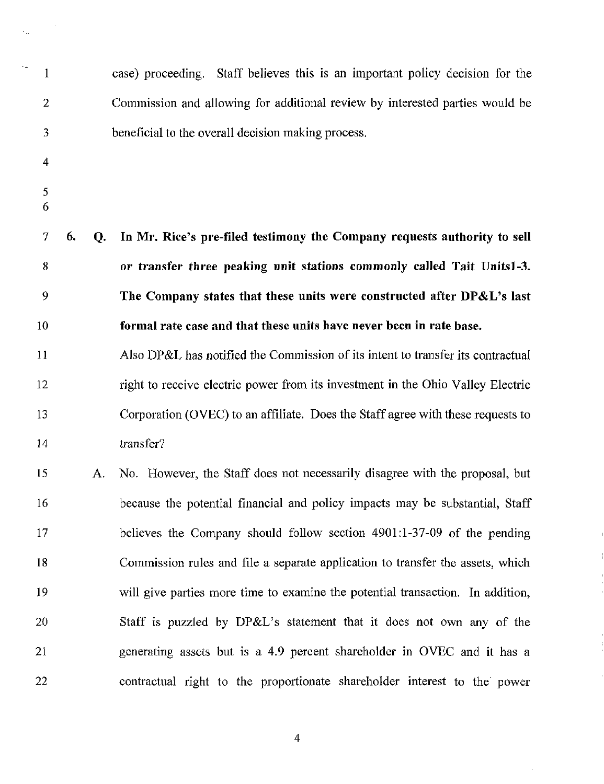| $\mathbf{1}$       |    |    | case) proceeding. Staff believes this is an important policy decision for the   |
|--------------------|----|----|---------------------------------------------------------------------------------|
| $\overline{2}$     |    |    | Commission and allowing for additional review by interested parties would be    |
| 3                  |    |    | beneficial to the overall decision making process.                              |
| 4                  |    |    |                                                                                 |
| $\mathfrak s$<br>6 |    |    |                                                                                 |
| $\tau$             | 6. | Q. | In Mr. Rice's pre-filed testimony the Company requests authority to sell        |
| 8                  |    |    | or transfer three peaking unit stations commonly called Tait Units1-3.          |
| 9                  |    |    | The Company states that these units were constructed after DP&L's last          |
| 10                 |    |    | formal rate case and that these units have never been in rate base.             |
| 11                 |    |    | Also DP&L has notified the Commission of its intent to transfer its contractual |
| 12                 |    |    | right to receive electric power from its investment in the Ohio Valley Electric |
| 13                 |    |    | Corporation (OVEC) to an affiliate. Does the Staff agree with these requests to |
| 14                 |    |    | transfer?                                                                       |
| 15                 |    | А. | No. However, the Staff does not necessarily disagree with the proposal, but     |
| 16                 |    |    | because the potential financial and policy impacts may be substantial, Staff    |
| 17                 |    |    | believes the Company should follow section 4901:1-37-09 of the pending          |
| 18                 |    |    | Commission rules and file a separate application to transfer the assets, which  |
| 19                 |    |    | will give parties more time to examine the potential transaction. In addition,  |
| 20                 |    |    | Staff is puzzled by DP&L's statement that it does not own any of the            |
| 21                 |    |    | generating assets but is a 4.9 percent shareholder in OVEC and it has a         |
| 22                 |    |    | contractual right to the proportionate shareholder interest to the power        |

 $\frac{1}{2}$ 

š,

 $\overline{4}$ 

 $\begin{array}{c}\n1 \\
3 \\
4\n\end{array}$ 

 $\mathbb{R}^2$ 

 $\sim 10^{-1}$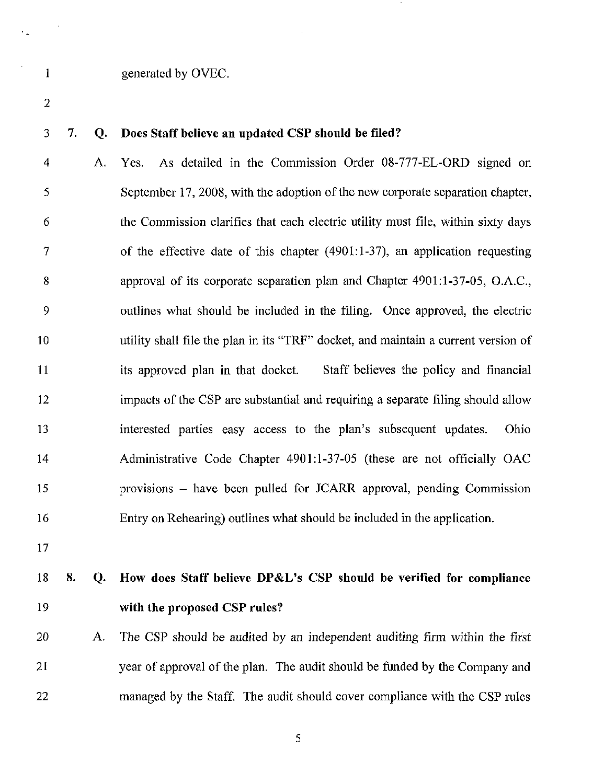#### 1 generated by OVEC.

2

#### 3 7. Q. Does Staff believe an updated CSP should be filed?

4 A. Yes. As detailed in the Commission Order 08-777-EL-ORD signed on 5 September 17, 2008, with the adoption of the new corporate separation chapter, 6 the Commission clarifies that each electric utility must file, within sixty days 7 ofthe effective date of this chapter (4901:1-37), an application requesting 8 approval of its corporate separation plan and Chapter 4901:1-37-05, O.A.C, 9 outlines what should be included in the filing. Once approved, the electric 10 utility shall file the plan in its "TRF" docket, and maintain a current version of 11 its approved plan in that docket. Staff believes the policy and financial 12 impacts of the CSP are substantial and requiring a separate filing should allow 13 interested parties easy access to the plan's subsequent updates. Ohio 14 Administrative Code Chapter 4901:1-37-05 (these are not officially OAC 15 provisions - have been pulled for JCARR approval, pending Commission 16 Entry on Rehearing) outlines what should be included in the application,

17

# 18 8. Q. How does Staff believe DP&L's CSP should be verified for compliance 19 with the proposed CSP rules?

20 A. The CSP should be audited by an independent auditing firm within the first 21 year of approval of the plan. The audit should be funded by the Company and 22 managed by the Staff. The audit should cover compliance with the CSP rules

5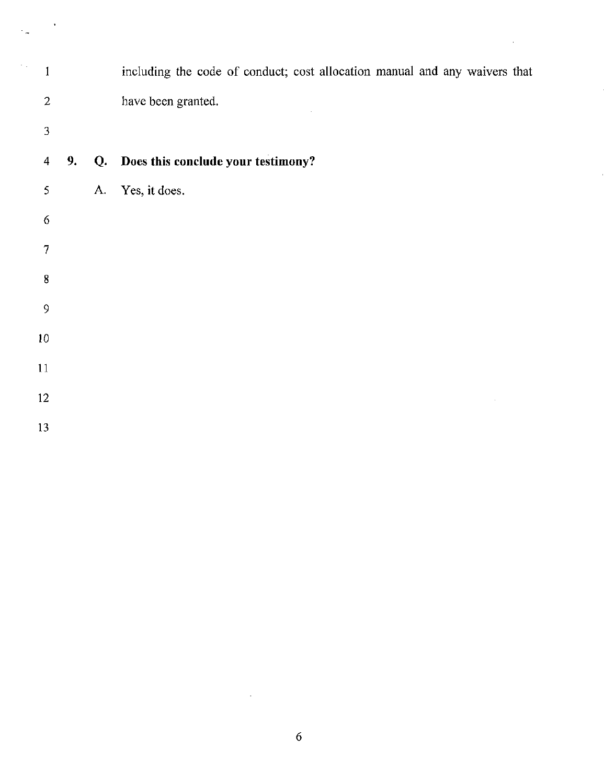| 1                       |    |    | including the code of conduct; cost allocation manual and any waivers that |
|-------------------------|----|----|----------------------------------------------------------------------------|
| $\overline{2}$          |    |    | have been granted.                                                         |
| 3                       |    |    |                                                                            |
| $\overline{\mathbf{4}}$ | 9. | Q. | Does this conclude your testimony?                                         |
| 5                       |    | A. | Yes, it does.                                                              |
| $\boldsymbol{6}$        |    |    |                                                                            |
| 7                       |    |    |                                                                            |
| 8                       |    |    |                                                                            |
| 9                       |    |    |                                                                            |
| 10                      |    |    |                                                                            |
| 11                      |    |    |                                                                            |
| 12                      |    |    |                                                                            |
| 13                      |    |    |                                                                            |

 $\hat{\mathcal{A}}$ 

j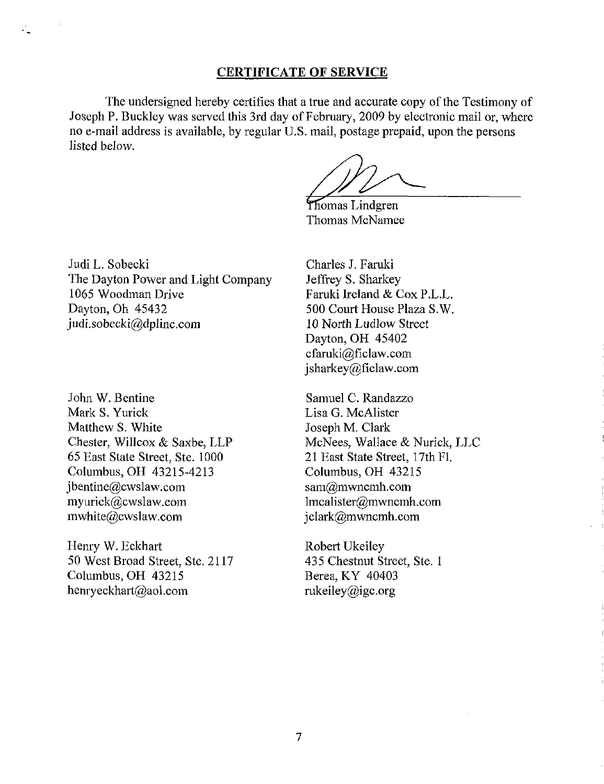### CERTIFICATE OF SERVICE

The undersigned hereby certifies that a true and accurate copy of the Testimony of Joseph P. Buckley was served this 3rd day of February, 2009 by electronic mail or, where no e-mail address is available, by regular U.S. mail, postage prepaid, upon the persons listed below.

Thomas Lindgren Thomas McNamee

Judi L. Sobecki The Dayton Power and Light Company 1065 Woodman Drive Dayton, Oh 45432 [judi.sobecki@dplinc.com](mailto:judi.sobecki@dplinc.com) 

John W. Bentine Mark S. Yurick Matthew S. White Chester, Willcox & Saxbe, LLP 65 East State Street, Ste, 1000 Columbus, OH 43215-4213 [jbentine@cwslaw.com](mailto:jbentine@cwslaw.com)  [myurick@cwslaw.com](mailto:myurick@cwslaw.com)  [mwhite@cwslaw.com](mailto:mwhite@cwslaw.com) 

Henry W. Eckhart 50 West Broad Street, Ste. 2117 Columbus, OH 43215 [henryeckhart@aol.com](mailto:henryeckhart@aol.com) 

Charles J, Faruki Jeffrey S. Sharkey Faruki Ireland & Cox P.L.L. 500 Court House Plaza S.W. 10 North Ludlow Street Dayton, OH 45402 [cfaruki@ficlaw.com](mailto:cfaruki@ficlaw.com)  [jsharkey@ficlaw.com](mailto:jsharkey@ficlaw.com) 

Samuel C. Randazzo Lisa G. McAlister Joseph M. Clark McNees, Wallace & Nurick, LLC 21 East State Street, 17th Fl. Columbus, OH 43215 [sam@mwncmh.com](mailto:sam@mwncmh.com)  [lmcalister@mwncmh.com](mailto:lmcalister@mwncmh.com)  [jclark@mwncmh.com](mailto:jclark@mwncmh.com) 

Robert Ukeiley 435 Chestnut Street, Ste. 1 Berea, KY 40403 [rukeiley@igc.org](mailto:rukeiley@igc.org)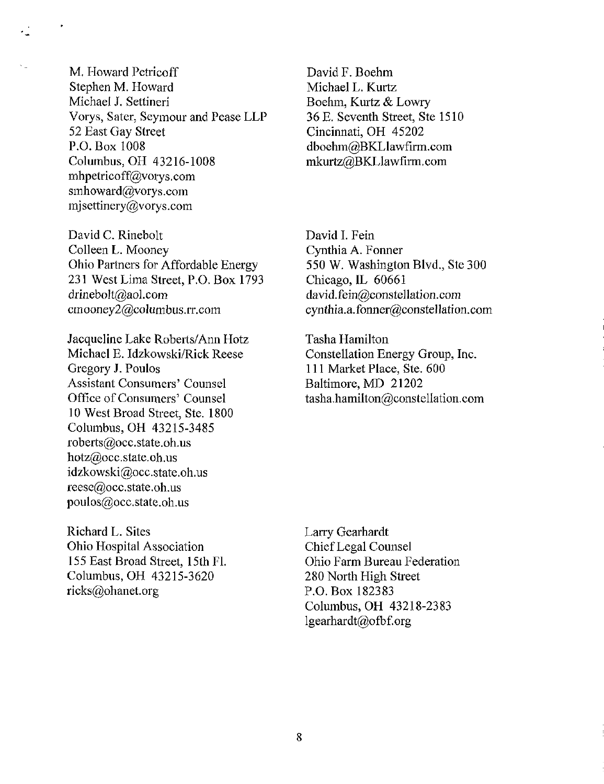M. Howard Petricoff Stephen M. Howard Michael J, Settineri Vorys, Sater, Seymour and Pease LLP 52 East Gay Street P.O.Box 1008 Columbus, OH 43216-1008 [mhpetricoff@vorys.com](mailto:mhpetricoff@vorys.com)  smhoward@vorys.com mjsettinery@vorys.com

David C. Rinebolt Colleen L. Mooney Ohio Partners for Affordable Energy 231 West Lima Street, P.O. Box 1793 [drinebolt@aol.com](mailto:drinebolt@aol.com)  [cmooney2@columbus.iT.com](mailto:cmooney2@columbus.iT.com) 

Jacqueline Lake Roberts/Ann Hotz Michael E. Idzkowski/Rick Reese Gregory J. Poulos Assistant Consumers' Counsel Office of Consumers' Counsel 10 West Broad Street, Ste. 1800 Columbus, OH 43215-3485 roberts@occ,state.oh.us hotz@occ.state.oh,us [idzkowski@occ.state.oh.us](mailto:idzkowski@occ.state.oh.us)  [reese@occ.state.oh.us](mailto:reese@occ.state.oh.us)  [poulos@occ.state.oh.us](mailto:poulos@occ.state.oh.us) 

Richard L. Sites Ohio Hospital Association 155 East Broad Street, 15th Fl. Columbus, OH 43215-3620 [ricks@ohanet.org](mailto:ricks@ohanet.org) 

David F, Boehm Michael L. Kurtz Boehm, Kurtz & Lowry 36 E. Seventh Street, Ste 1510 Cincinnati, OH 45202 [dboehm@BKLlawfirm.com](mailto:dboehm@BKLlawfirm.com)  mkurtz@BKLlawfirm.com

David L Fein Cynthia A, Fonner 550 W. Washington Blvd., Ste 300 Chicago, IL 60661 [david.fein@constellation.com](mailto:david.fein@constellation.com)  cynthia.a.fonner@constellation.com

Tasha Hamilton Constellation Energy Group, Inc. 111 Market Place, Ste. 600 Baltimore, MD 21202 tasha.hamilton@constellation.com

Larry Gearhardt Chief Legal Counsel Ohio Farm Bureau Federation 280 North High Street P.O. Box 182383 Columbus, OH 43218-2383 [lgearhardt@ofbf.org](mailto:lgearhardt@ofbf.org)